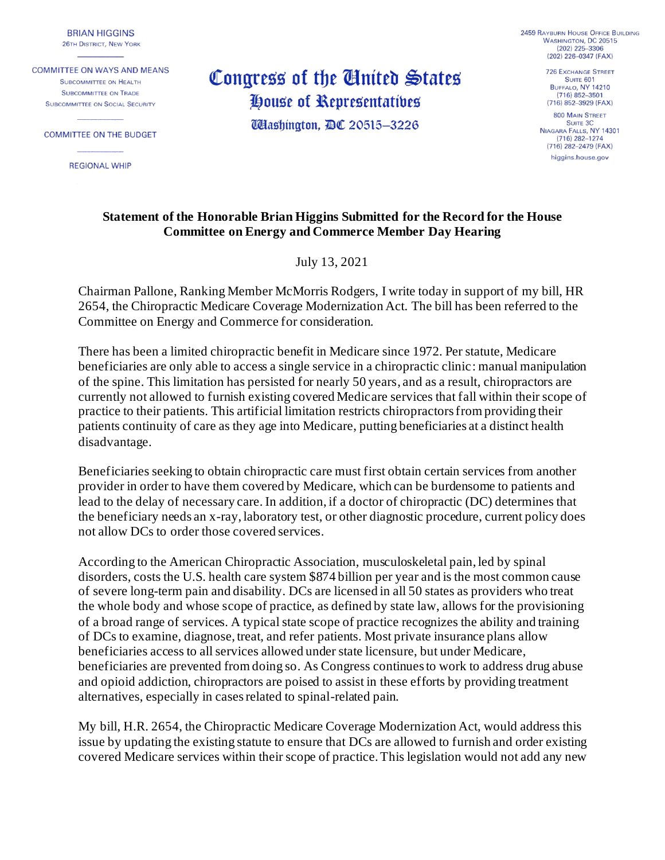**BRIAN HIGGINS 26TH DISTRICT, NEW YORK** 

**COMMITTEE ON WAYS AND MEANS** SURCOMMITTEE ON HEALTH **SUBCOMMITTEE ON TRADE SUBCOMMITTEE ON SOCIAL SECURITY** 

**COMMITTEE ON THE BUDGET** 

**REGIONAL WHIP** 

Congress of the United States House of Representatives **UHashington, DC 20515-3226** 

**2459 RAYBURN HOUSE OFFICE BUILDING** WASHINGTON, DC 20515  $(202)$   $225 - 3306$ (202) 226-0347 (FAX)

**726 EXCHANGE STREET** SUITE 601 BUFFALO, NY 14210  $(716) 852 - 3501$ (716) 852-3929 (FAX) **800 MAIN STREET** SUITE 3C NIAGARA FALLS, NY 14301  $(716) 282 - 1274$ (716) 282-2479 (FAX) higgins.house.gov

## **Statement of the Honorable Brian Higgins Submitted for the Record for the House Committee on Energy and Commerce Member Day Hearing**

July 13, 2021

Chairman Pallone, Ranking Member McMorris Rodgers, I write today in support of my bill, HR 2654, the Chiropractic Medicare Coverage Modernization Act. The bill has been referred to the Committee on Energy and Commerce for consideration.

There has been a limited chiropractic benefit in Medicare since 1972. Per statute, Medicare beneficiaries are only able to access a single service in a chiropractic clinic: manual manipulation of the spine. This limitation has persisted for nearly 50 years, and as a result, chiropractors are currently not allowed to furnish existing covered Medicare services that fall within their scope of practice to their patients. This artificial limitation restricts chiropractors from providing their patients continuity of care as they age into Medicare, putting beneficiaries at a distinct health disadvantage.

Beneficiaries seeking to obtain chiropractic care must first obtain certain services from another provider in order to have them covered by Medicare, which can be burdensome to patients and lead to the delay of necessary care. In addition, if a doctor of chiropractic (DC) determines that the beneficiary needs an x-ray, laboratory test, or other diagnostic procedure, current policy does not allow DCs to order those covered services.

According to the American Chiropractic Association, musculoskeletal pain, led by spinal disorders, costs the U.S. health care system \$874 billion per year and is the most common cause of severe long-term pain and disability. DCs are licensed in all 50 states as providers who treat the whole body and whose scope of practice, as defined by state law, allows for the provisioning of a broad range of services. A typical state scope of practice recognizes the ability and training of DCs to examine, diagnose, treat, and refer patients. Most private insurance plans allow beneficiaries access to all services allowed under state licensure, but under Medicare, beneficiaries are prevented from doing so. As Congress continues to work to address drug abuse and opioid addiction, chiropractors are poised to assist in these efforts by providing treatment alternatives, especially in cases related to spinal-related pain.

My bill, H.R. 2654, the Chiropractic Medicare Coverage Modernization Act, would address this issue by updating the existing statute to ensure that DCs are allowed to furnish and order existing covered Medicare services within their scope of practice. This legislation would not add any new